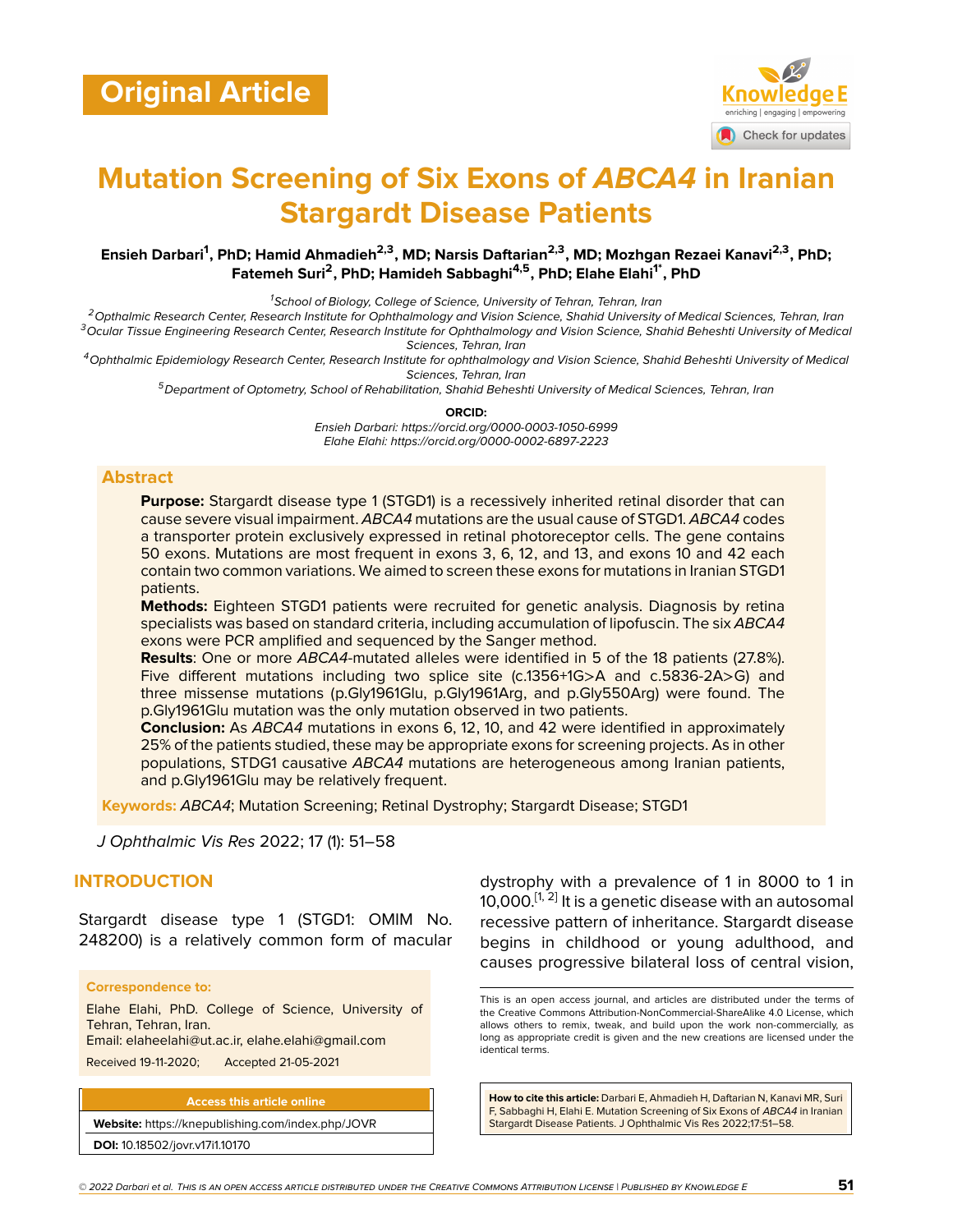

# **Mutation Screening of Six Exons of** *ABCA4* **in Iranian Stargardt Disease Patients**

#### **Ensieh Darbari<sup>1</sup> , PhD; Hamid Ahmadieh2,3, MD; Narsis Daftarian2,3, MD; Mozhgan Rezaei Kanavi2,3, PhD; Fatemeh Suri<sup>2</sup> , PhD; Hamideh Sabbaghi4,5, PhD; Elahe Elahi1\*, PhD**

*<sup>1</sup>School of Biology, College of Science, University of Tehran, Tehran, Iran*

*<sup>2</sup>Opthalmic Research Center, Research Institute for Ophthalmology and Vision Science, Shahid University of Medical Sciences, Tehran, Iran <sup>3</sup>Ocular Tissue Engineering Research Center, Research Institute for Ophthalmology and Vision Science, Shahid Beheshti University of Medical Sciences, Tehran, Iran*

*<sup>4</sup>Ophthalmic Epidemiology Research Center, Research Institute for ophthalmology and Vision Science, Shahid Beheshti University of Medical Sciences, Tehran, Iran*

*<sup>5</sup>Department of Optometry, School of Rehabilitation, Shahid Beheshti University of Medical Sciences, Tehran, Iran*

**ORCID:**

*Ensieh Darbari: https://orcid.org/0000-0003-1050-6999 Elahe Elahi: https://orcid.org/0000-0002-6897-2223*

#### **Abstract**

**Purpose:** Stargardt disease type 1 (STGD1) is a recessively inherited retinal disorder that can cause severe visual impairment. *ABCA4* mutations are the usual cause of STGD1. *ABCA4* codes a transporter protein exclusively expressed in retinal photoreceptor cells. The gene contains 50 exons. Mutations are most frequent in exons 3, 6, 12, and 13, and exons 10 and 42 each contain two common variations. We aimed to screen these exons for mutations in Iranian STGD1 patients.

**Methods:** Eighteen STGD1 patients were recruited for genetic analysis. Diagnosis by retina specialists was based on standard criteria, including accumulation of lipofuscin. The six *ABCA4* exons were PCR amplified and sequenced by the Sanger method.

**Results**: One or more *ABCA4*-mutated alleles were identified in 5 of the 18 patients (27.8%). Five different mutations including two splice site (c.1356+1G>A and c.5836-2A>G) and three missense mutations (p.Gly1961Glu, p.Gly1961Arg, and p.Gly550Arg) were found. The p.Gly1961Glu mutation was the only mutation observed in two patients.

**Conclusion:** As *ABCA4* mutations in exons 6, 12, 10, and 42 were identified in approximately 25% of the patients studied, these may be appropriate exons for screening projects. As in other populations, STDG1 causative *ABCA4* mutations are heterogeneous among Iranian patients, and p.Gly1961Glu may be relatively frequent.

**Keywords:** *ABCA4*; Mutation Screening; Retinal Dystrophy; Stargardt Disease; STGD1

*J Ophthalmic Vis Res* 2022; 17 (1): 51–58

### **INTRODUCTION**

Stargardt disease type 1 (STGD1: OMIM No. 248200) is a relatively common form of macular

#### **Correspondence to:**

Elahe Elahi, PhD. College of Science, University of Tehran, Tehran, Iran. Email: elaheelahi@ut.ac.ir, elahe.elahi@gmail.com

Received 19-11-2020; Accepted 21-05-2021

**Access this article online**

**Website:** <https://knepublishing.com/index.php/JOVR> **DOI:** 10.18502/jovr.v17i1.10170

dystrophy with a prevalence of 1 in 8000 to 1 in [1](#page-5-0)0,000. $^{[1,\,2]}$  $^{[1,\,2]}$  $^{[1,\,2]}$  It is a genetic disease with an autosomal recessive pattern of inheritance. Stargardt disease begins in childhood or young adulthood, and causes progressive bilateral loss of central vision,

This is an open access journal, and articles are distributed under the terms of the Creative Commons Attribution-NonCommercial-ShareAlike 4.0 License, which allows others to remix, tweak, and build upon the work non-commercially, as long as appropriate credit is given and the new creations are licensed under the identical terms.

**How to cite this article:** Darbari E, Ahmadieh H, Daftarian N, Kanavi MR, Suri F, Sabbaghi H, Elahi E. Mutation Screening of Six Exons of *ABCA4* in Iranian Stargardt Disease Patients. J Ophthalmic Vis Res 2022;17:51–58.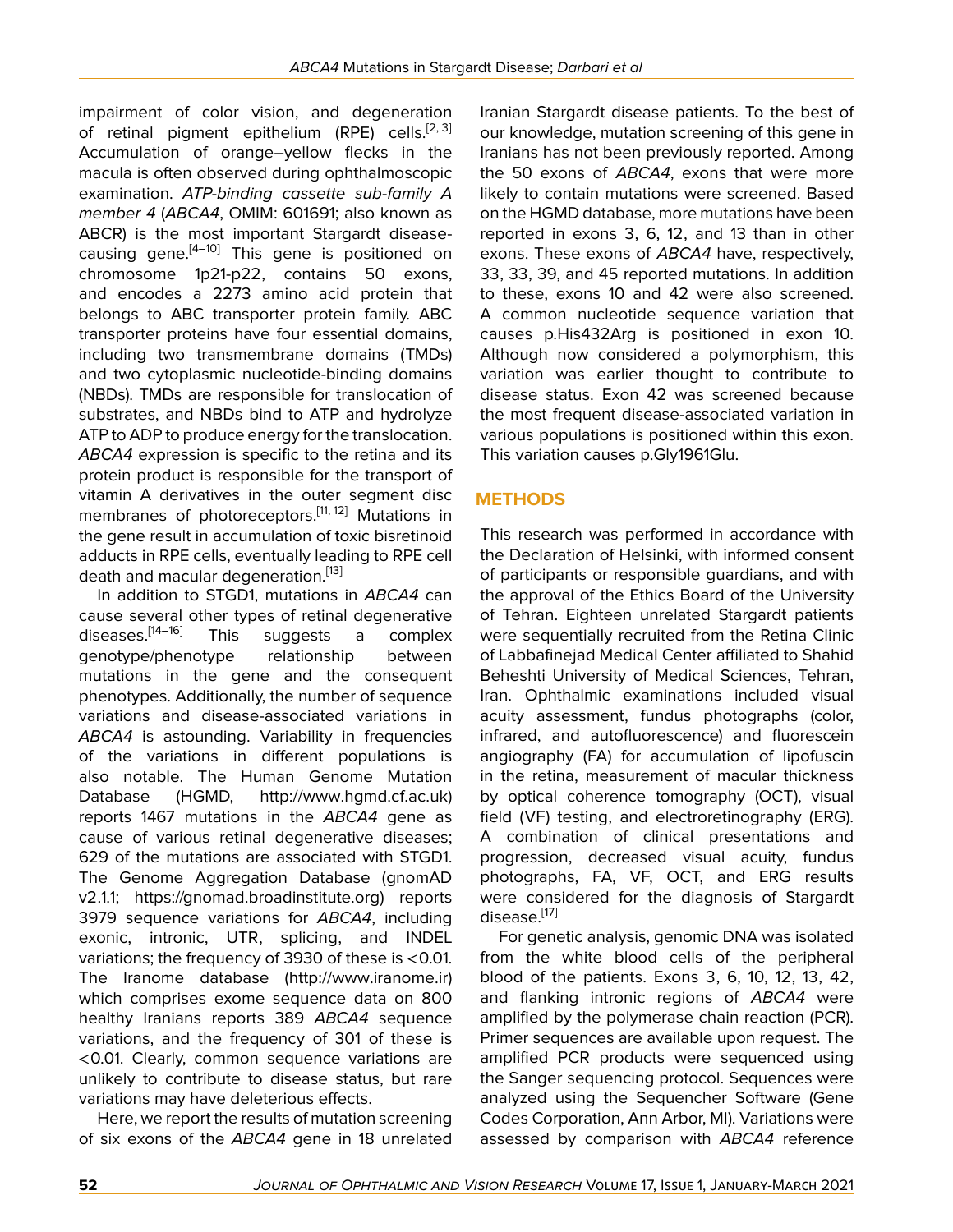impairment of color vision, and degeneration of retinal pigment epithelium (RPE) cells.<sup>[[2](#page-5-1), [3](#page-5-2)]</sup> Accumulation of orange–yellow flecks in the macula is often observed during ophthalmoscopic examination. *ATP-binding cassette sub-family A member 4* (*ABCA4*, OMIM: 601691; also known as ABCR) is the most important Stargardt diseasecausing gene.[\[4](#page-5-3)[–10\]](#page-6-0) This gene is positioned on chromosome 1p21-p22, contains 50 exons, and encodes a 2273 amino acid protein that belongs to ABC transporter protein family. ABC transporter proteins have four essential domains, including two transmembrane domains (TMDs) and two cytoplasmic nucleotide-binding domains (NBDs). TMDs are responsible for translocation of substrates, and NBDs bind to ATP and hydrolyze ATP to ADP to produce energy for the translocation. *ABCA4* expression is specific to the retina and its protein product is responsible for the transport of vitamin A derivatives in the outer segment disc membranes of photoreceptors.<sup>[[11,](#page-6-1) [12\]](#page-6-2)</sup> Mutations in the gene result in accumulation of toxic bisretinoid adducts in RPE cells, eventually leading to RPE cell death and macular degeneration.<sup>[\[13](#page-6-3)]</sup>

In addition to STGD1, mutations in *ABCA4* can cause several other types of retinal degenerative diseases.<sup>[\[14–](#page-6-4)[16\]](#page-6-5)</sup> This suggests a complex genotype/phenotype relationship between mutations in the gene and the consequent phenotypes. Additionally, the number of sequence variations and disease-associated variations in *ABCA4* is astounding. Variability in frequencies of the variations in different populations is also notable. The Human Genome Mutation Database (HGMD, [http://www.hgmd.cf.ac.uk\)](http://www.hgmd.cf.ac.uk) reports 1467 mutations in the *ABCA4* gene as cause of various retinal degenerative diseases; 629 of the mutations are associated with STGD1. The Genome Aggregation Database (gnomAD v2.1.1; https://gnomad.broadinstitute.org) reports 3979 sequence variations for *ABCA4*, including exonic, intronic, UTR, splicing, and INDEL variations; the frequency of 3930 of these is <0.01. The Iranome database ([http://www.iranome.ir\)](http://www.iranome.ir) which comprises exome sequence data on 800 healthy Iranians reports 389 *ABCA4* sequence variations, and the frequency of 301 of these is <0.01. Clearly, common sequence variations are unlikely to contribute to disease status, but rare variations may have deleterious effects.

Here, we report the results of mutation screening of six exons of the *ABCA4* gene in 18 unrelated

Iranian Stargardt disease patients. To the best of our knowledge, mutation screening of this gene in Iranians has not been previously reported. Among the 50 exons of *ABCA4*, exons that were more likely to contain mutations were screened. Based on the HGMD database, more mutations have been reported in exons 3, 6, 12, and 13 than in other exons. These exons of *ABCA4* have, respectively, 33, 33, 39, and 45 reported mutations. In addition to these, exons 10 and 42 were also screened. A common nucleotide sequence variation that causes p.His432Arg is positioned in exon 10. Although now considered a polymorphism, this variation was earlier thought to contribute to disease status. Exon 42 was screened because the most frequent disease-associated variation in various populations is positioned within this exon. This variation causes p.Gly1961Glu.

# **METHODS**

This research was performed in accordance with the Declaration of Helsinki, with informed consent of participants or responsible guardians, and with the approval of the Ethics Board of the University of Tehran. Eighteen unrelated Stargardt patients were sequentially recruited from the Retina Clinic of Labbafinejad Medical Center affiliated to Shahid Beheshti University of Medical Sciences, Tehran, Iran. Ophthalmic examinations included visual acuity assessment, fundus photographs (color, infrared, and autofluorescence) and fluorescein angiography (FA) for accumulation of lipofuscin in the retina, measurement of macular thickness by optical coherence tomography (OCT), visual field (VF) testing, and electroretinography (ERG). A combination of clinical presentations and progression, decreased visual acuity, fundus photographs, FA, VF, OCT, and ERG results were considered for the diagnosis of Stargardt disease.<sup>[[17](#page-6-6)]</sup>

For genetic analysis, genomic DNA was isolated from the white blood cells of the peripheral blood of the patients. Exons 3, 6, 10, 12, 13, 42, and flanking intronic regions of *ABCA4* were amplified by the polymerase chain reaction (PCR). Primer sequences are available upon request. The amplified PCR products were sequenced using the Sanger sequencing protocol. Sequences were analyzed using the Sequencher Software (Gene Codes Corporation, Ann Arbor, MI). Variations were assessed by comparison with *ABCA4* reference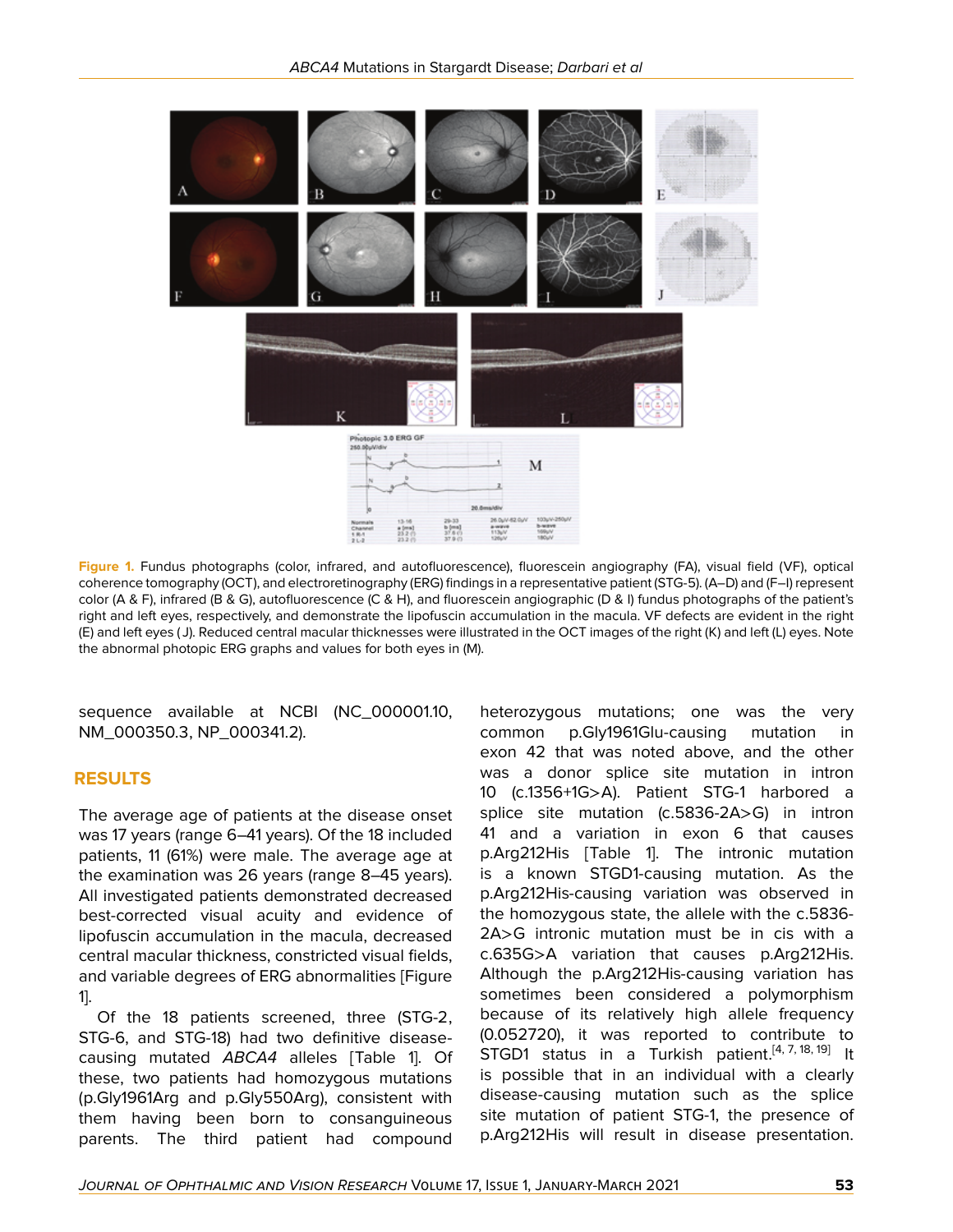

**Figure 1.** Fundus photographs (color, infrared, and autofluorescence), fluorescein angiography (FA), visual field (VF), optical coherence tomography (OCT), and electroretinography (ERG) findings in a representative patient (STG-5). (A–D) and (F–I) represent color (A & F), infrared (B & G), autofluorescence (C & H), and fluorescein angiographic (D & I) fundus photographs of the patient's right and left eyes, respectively, and demonstrate the lipofuscin accumulation in the macula. VF defects are evident in the right (E) and left eyes ( J). Reduced central macular thicknesses were illustrated in the OCT images of the right (K) and left (L) eyes. Note the abnormal photopic ERG graphs and values for both eyes in (M).

sequence available at NCBI (NC\_000001.10, NM\_000350.3, NP\_000341.2).

#### **RESULTS**

The average age of patients at the disease onset was 17 years (range 6–41 years). Of the 18 included patients, 11 (61%) were male. The average age at the examination was 26 years (range 8–45 years). All investigated patients demonstrated decreased best-corrected visual acuity and evidence of lipofuscin accumulation in the macula, decreased central macular thickness, constricted visual fields, and variable degrees of ERG abnormalities [Figure 1].

Of the 18 patients screened, three (STG-2, STG-6, and STG-18) had two definitive diseasecausing mutated *ABCA4* alleles [Table 1]. Of these, two patients had homozygous mutations (p.Gly1961Arg and p.Gly550Arg), consistent with them having been born to consanguineous parents. The third patient had compound

heterozygous mutations; one was the very common p.Gly1961Glu-causing mutation in exon 42 that was noted above, and the other was a donor splice site mutation in intron 10 (c.1356+1G>A). Patient STG-1 harbored a splice site mutation (c.5836-2A>G) in intron 41 and a variation in exon 6 that causes p.Arg212His [Table 1]. The intronic mutation is a known STGD1-causing mutation. As the p.Arg212His-causing variation was observed in the homozygous state, the allele with the c.5836- 2A>G intronic mutation must be in cis with a c.635G>A variation that causes p.Arg212His. Although the p.Arg212His-causing variation has sometimes been considered a polymorphism because of its relatively high allele frequency (0.052720), it was reported to contribute to STGD1 status in a Turkish patient.<sup>[\[4,](#page-5-3) [7](#page-5-4), [18](#page-6-7), [19\]](#page-6-8)</sup> It is possible that in an individual with a clearly disease-causing mutation such as the splice site mutation of patient STG-1, the presence of p.Arg212His will result in disease presentation.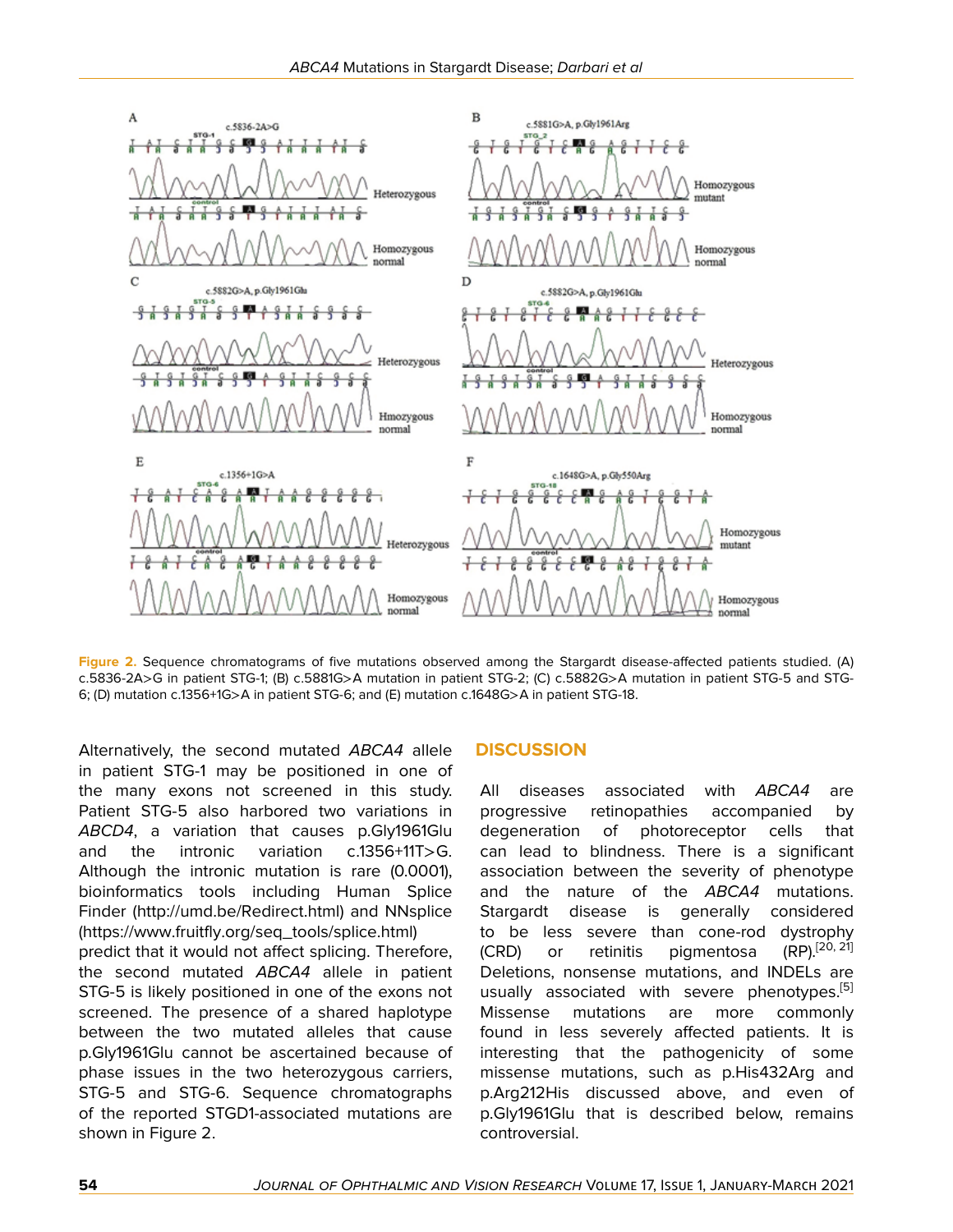

**Figure 2.** Sequence chromatograms of five mutations observed among the Stargardt disease-affected patients studied. (A) c.5836-2A>G in patient STG-1; (B) c.5881G>A mutation in patient STG-2; (C) c.5882G>A mutation in patient STG-5 and STG-6; (D) mutation c.1356+1G>A in patient STG-6; and (E) mutation c.1648G>A in patient STG-18.

Alternatively, the second mutated *ABCA4* allele in patient STG-1 may be positioned in one of the many exons not screened in this study. Patient STG-5 also harbored two variations in *ABCD4*, a variation that causes p.Gly1961Glu and the intronic variation c.1356+11T>G. Although the intronic mutation is rare (0.0001), bioinformatics tools including Human Splice Finder [\(http://umd.be/Redirect.html](http://umd.be/Redirect.html)) and NNsplice [\(https://www.fruitfly.org/seq\\_tools/splice.html](https://www.fruitfly.org/seq_tools/splice.html)) predict that it would not affect splicing. Therefore, the second mutated *ABCA4* allele in patient STG-5 is likely positioned in one of the exons not screened. The presence of a shared haplotype between the two mutated alleles that cause p.Gly1961Glu cannot be ascertained because of phase issues in the two heterozygous carriers, STG-5 and STG-6. Sequence chromatographs of the reported STGD1-associated mutations are shown in Figure 2.

#### **DISCUSSION**

All diseases associated with *ABCA4* are progressive retinopathies accompanied by degeneration of photoreceptor cells that can lead to blindness. There is a significant association between the severity of phenotype and the nature of the *ABCA4* mutations. Stargardt disease is generally considered to be less severe than cone-rod dystrophy  $(CRD)$  or retinitis pigmentosa  $(RP)$ <sup>[\[20](#page-6-9), [21](#page-6-10)]</sup> Deletions, nonsense mutations, and INDELs are usually associated with severe phenotypes.<sup>[[5](#page-5-5)]</sup> Missense mutations are more commonly found in less severely affected patients. It is interesting that the pathogenicity of some missense mutations, such as p.His432Arg and p.Arg212His discussed above, and even of p.Gly1961Glu that is described below, remains controversial.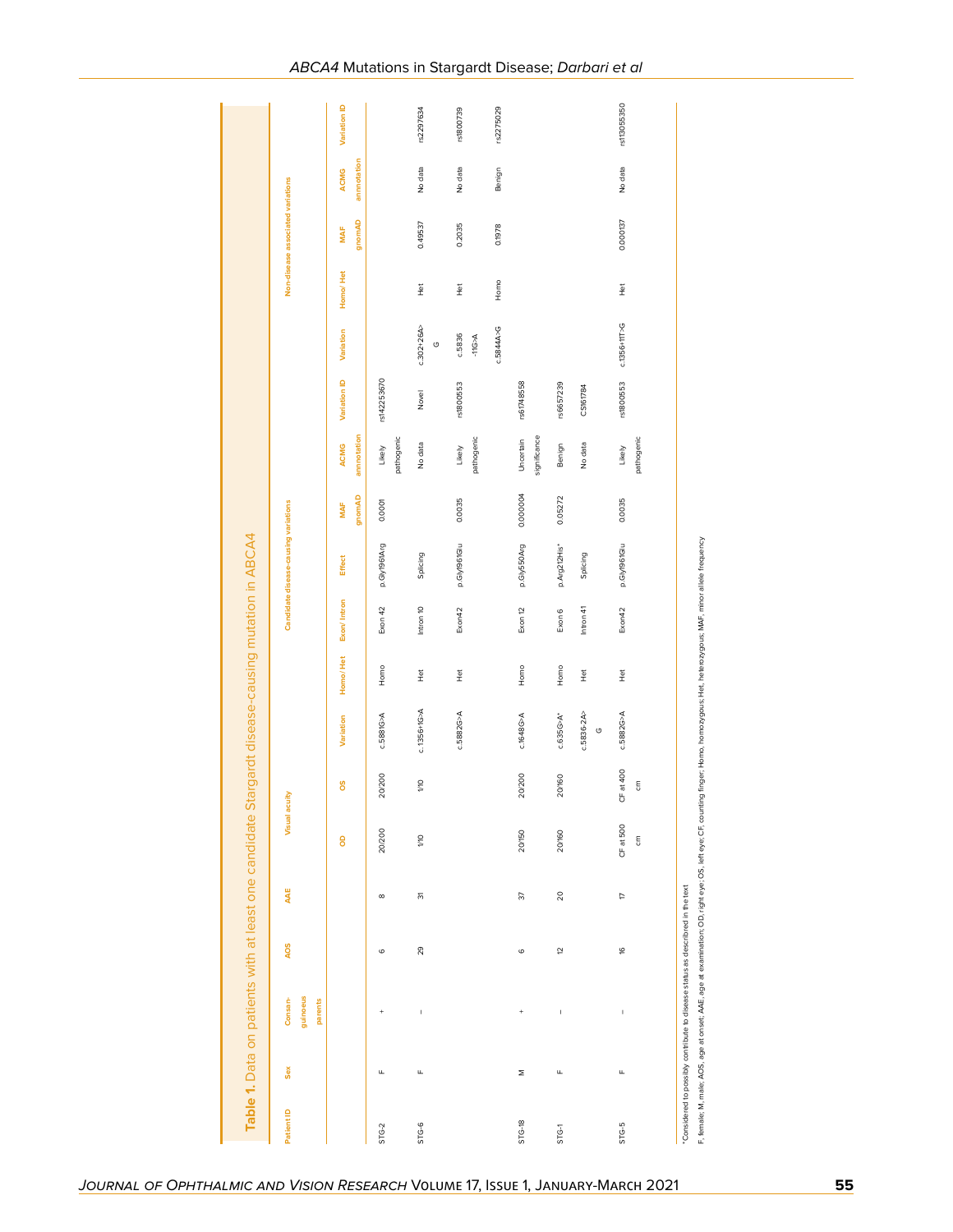| Patient ID | Sex | guinoeus<br>Consan-                                                            | <b>AOS</b> | AAE             | Visual acuity                                                                                                                                                                      |                          |                           |                                      |             | Candidate disease-causing variations |                  |                           |              |                          |                          | Non-disease associated variations |             |              |
|------------|-----|--------------------------------------------------------------------------------|------------|-----------------|------------------------------------------------------------------------------------------------------------------------------------------------------------------------------------|--------------------------|---------------------------|--------------------------------------|-------------|--------------------------------------|------------------|---------------------------|--------------|--------------------------|--------------------------|-----------------------------------|-------------|--------------|
|            |     | parents                                                                        |            |                 | 8                                                                                                                                                                                  | ő                        | Variation                 | Homo/Het                             | Exon/Intron | <b>Effect</b>                        | MAF              | <b>ACMG</b>               | Variation ID | Variation                | Homo/Het                 | <b>MAF</b>                        | <b>ACMG</b> | Variation ID |
| STG-2      | Щ   |                                                                                | $\circ$    | $\infty$        | 20/200                                                                                                                                                                             | 20/200                   | c.5881G>A                 | Homo                                 | Exon 42     | p.Gly1961Arg                         | gnomAD<br>0.0001 | annnotation<br>Likely     | rs142253670  |                          |                          | gnomAD                            | annnotation |              |
| $STG-6$    | щ   | I.                                                                             | 29         | $\overline{5}$  | <b>DW</b>                                                                                                                                                                          | $\frac{1}{2}$            | $c. 1356 + 1G > A$        | $\tilde{\Xi}$                        | Intron 10   | Splicing                             |                  | pathogenic<br>No data     | Novel        | $c.302 + 26A$<br>$\circ$ | $\frac{\overline{6}}{4}$ | 0.49537                           | No data     | rs2297634    |
|            |     |                                                                                |            |                 |                                                                                                                                                                                    |                          | c.5882G <sub>2</sub> A    | $\frac{\overleftrightarrow{v}}{\pm}$ | Exon42      | p.Gly1961Glu                         | 0.0035           | pathogenic<br>Likely      | rs1800553    | c.5836<br>-11G>A         | $\frac{1}{2}$            | 0.2035                            | No data     | rs1800739    |
|            |     |                                                                                |            |                 |                                                                                                                                                                                    |                          |                           |                                      |             |                                      |                  |                           |              | c.5844A>G                | Homo                     | 0.1978                            | Benign      | rs2275029    |
| STG-18     | Σ   | $^{+}$                                                                         | $\circ$    | $\overline{37}$ | 20/150                                                                                                                                                                             | 20/200                   | c.1648G <sub>&gt;</sub> A | Homo                                 | Exon 12     | p.Gly550Arg                          | 0.000004         | significance<br>Uncertain | rs61748558   |                          |                          |                                   |             |              |
| STG-1      | Щ   | $\mathsf I$                                                                    | 5          | $\overline{c}$  | 20/160                                                                                                                                                                             | 20/160                   | $c.635G > A^*$            | Homo                                 | Exon 6      | p.Arg212His*                         | 0.05272          | Benign                    | rs6657239    |                          |                          |                                   |             |              |
|            |     |                                                                                |            |                 |                                                                                                                                                                                    |                          | $c.5836-2A$<br>$\circ$    | $\frac{\ddot{\phi}}{2}$              | Intron 41   | Splicing                             |                  | No data                   | CS161784     |                          |                          |                                   |             |              |
| STG-5      | Щ   | $\overline{\phantom{a}}$                                                       | 9          | Þ               | CF at 500<br>$\mathop{\mathsf{E}}$                                                                                                                                                 | CF at 400<br>$\mathsf g$ | c.5882G <sub>2</sub> A    | $\frac{1}{2}$                        | Exon42      | p.Gly1961Glu                         | 0.0035           | pathogenic<br>Likely      | rs1800553    | $c.1356 + 117 > G$       | $\frac{1}{2}$            | 0.000137                          | No data     | rs113055350  |
|            |     | "Considered to possibly contribute to disease status as describred in the text |            |                 | F, female; M, male; AOS, age at onset; AAE, age at examination; OD, right eye; OS, left eye; CF, counting finger; Homo, homozygous; Het, heterozygous; MAF, minor allele frequency |                          |                           |                                      |             |                                      |                  |                           |              |                          |                          |                                   |             |              |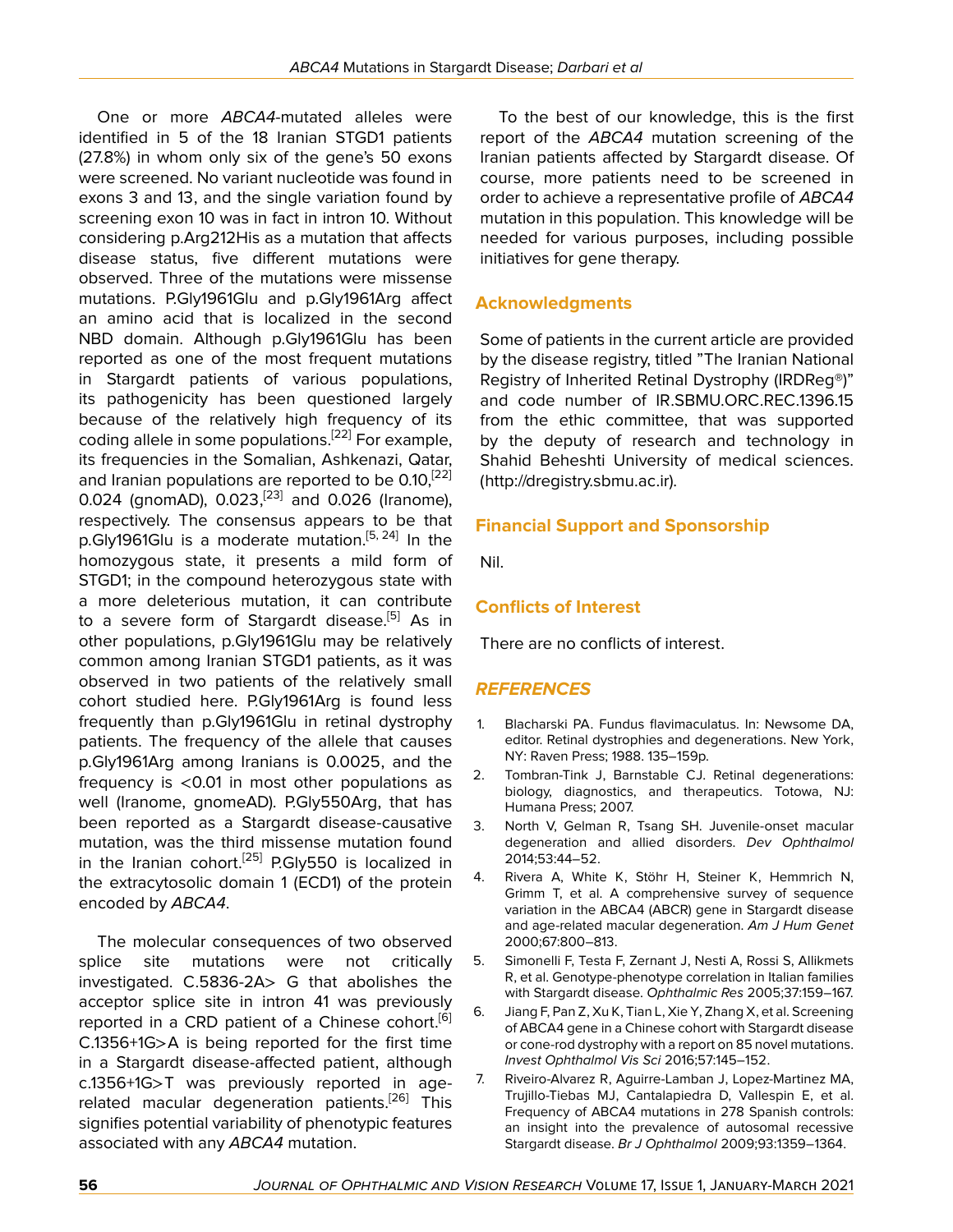One or more *ABCA4*-mutated alleles were identified in 5 of the 18 Iranian STGD1 patients (27.8%) in whom only six of the gene's 50 exons were screened. No variant nucleotide was found in exons 3 and 13, and the single variation found by screening exon 10 was in fact in intron 10. Without considering p.Arg212His as a mutation that affects disease status, five different mutations were observed. Three of the mutations were missense mutations. P.Gly1961Glu and p.Gly1961Arg affect an amino acid that is localized in the second NBD domain. Although p.Gly1961Glu has been reported as one of the most frequent mutations in Stargardt patients of various populations, its pathogenicity has been questioned largely because of the relatively high frequency of its coding allele in some populations.<sup>[[22\]](#page-6-11)</sup> For example, its frequencies in the Somalian, Ashkenazi, Qatar, and Iranian populations are reported to be 0.10,<sup>[\[22](#page-6-11)]</sup> 0.024 (gnomAD), 0.023,<sup>[\[23\]](#page-6-12)</sup> and 0.026 (Iranome), respectively. The consensus appears to be that p.Gly1961Glu is a moderate mutation.<sup>[\[5,](#page-5-5) [24](#page-6-13)]</sup> In the homozygous state, it presents a mild form of STGD1; in the compound heterozygous state with a more deleterious mutation, it can contribute to a severe form of Stargardt disease.<sup>[[5](#page-5-5)]</sup> As in other populations, p.Gly1961Glu may be relatively common among Iranian STGD1 patients, as it was observed in two patients of the relatively small cohort studied here. P.Gly1961Arg is found less frequently than p.Gly1961Glu in retinal dystrophy patients. The frequency of the allele that causes p.Gly1961Arg among Iranians is 0.0025, and the frequency is <0.01 in most other populations as well (Iranome, gnomeAD). P.Gly550Arg, that has been reported as a Stargardt disease-causative mutation, was the third missense mutation found in the Iranian cohort.<sup>[[25\]](#page-6-14)</sup> P.Gly550 is localized in the extracytosolic domain 1 (ECD1) of the protein encoded by *ABCA4*.

The molecular consequences of two observed splice site mutations were not critically investigated. C.5836-2A> G that abolishes the acceptor splice site in intron 41 was previously reported in a CRD patient of a Chinese cohort.<sup>[[6](#page-5-6)]</sup> C.1356+1G>A is being reported for the first time in a Stargardt disease-affected patient, although c.1356+1G>T was previously reported in age-related macular degeneration patients.<sup>[[26\]](#page-6-15)</sup> This signifies potential variability of phenotypic features associated with any *ABCA4* mutation.

To the best of our knowledge, this is the first report of the *ABCA4* mutation screening of the Iranian patients affected by Stargardt disease. Of course, more patients need to be screened in order to achieve a representative profile of *ABCA4* mutation in this population. This knowledge will be needed for various purposes, including possible initiatives for gene therapy.

# **Acknowledgments**

Some of patients in the current article are provided by the disease registry, titled "The Iranian National Registry of Inherited Retinal Dystrophy (IRDReg®)" and code number of IR.SBMU.ORC.REC.1396.15 from the ethic committee, that was supported by the deputy of research and technology in Shahid Beheshti University of medical sciences. (http://dregistry.sbmu.ac.ir).

# **Financial Support and Sponsorship**

Nil.

# **Conflicts of Interest**

There are no conflicts of interest.

#### *REFERENCES*

- <span id="page-5-0"></span>1. Blacharski PA. Fundus flavimaculatus. In: Newsome DA, editor. Retinal dystrophies and degenerations. New York, NY: Raven Press; 1988. 135–159p.
- <span id="page-5-1"></span>2. Tombran-Tink J, Barnstable CJ. Retinal degenerations: biology, diagnostics, and therapeutics. Totowa, NJ: Humana Press; 2007.
- <span id="page-5-2"></span>3. North V, Gelman R, Tsang SH. Juvenile-onset macular degeneration and allied disorders. *Dev Ophthalmol* 2014;53:44–52.
- <span id="page-5-3"></span>4. Rivera A, White K, Stöhr H, Steiner K, Hemmrich N, Grimm T, et al. A comprehensive survey of sequence variation in the ABCA4 (ABCR) gene in Stargardt disease and age-related macular degeneration. *Am J Hum Genet* 2000;67:800–813.
- <span id="page-5-5"></span>5. Simonelli F, Testa F, Zernant J, Nesti A, Rossi S, Allikmets R, et al. Genotype-phenotype correlation in Italian families with Stargardt disease. *Ophthalmic Res* 2005;37:159–167.
- <span id="page-5-6"></span>6. Jiang F, Pan Z, Xu K, Tian L, Xie Y, Zhang X, et al. Screening of ABCA4 gene in a Chinese cohort with Stargardt disease or cone-rod dystrophy with a report on 85 novel mutations. *Invest Ophthalmol Vis Sci* 2016;57:145–152.
- <span id="page-5-4"></span>7. Riveiro-Alvarez R, Aguirre-Lamban J, Lopez-Martinez MA, Trujillo-Tiebas MJ, Cantalapiedra D, Vallespin E, et al. Frequency of ABCA4 mutations in 278 Spanish controls: an insight into the prevalence of autosomal recessive Stargardt disease. *Br J Ophthalmol* 2009;93:1359–1364.